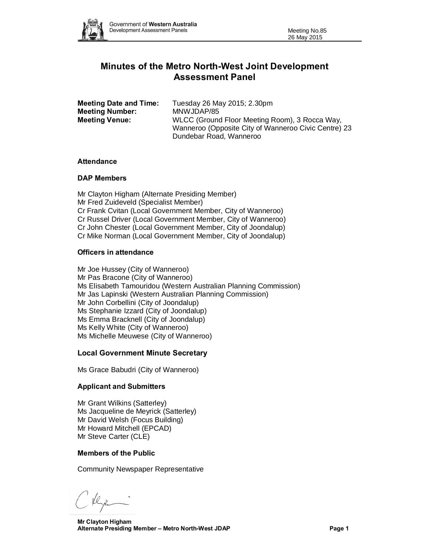

# **Minutes of the Metro North-West Joint Development Assessment Panel**

| <b>Meeting Date and Time:</b> | Tuesday 26 May 2015; 2.30pm                          |
|-------------------------------|------------------------------------------------------|
| <b>Meeting Number:</b>        | MNWJDAP/85                                           |
| <b>Meeting Venue:</b>         | WLCC (Ground Floor Meeting Room), 3 Rocca Way,       |
|                               | Wanneroo (Opposite City of Wanneroo Civic Centre) 23 |
|                               | Dundebar Road, Wanneroo                              |

# **Attendance**

## **DAP Members**

Mr Clayton Higham (Alternate Presiding Member) Mr Fred Zuideveld (Specialist Member) Cr Frank Cvitan (Local Government Member, City of Wanneroo) Cr Russel Driver (Local Government Member, City of Wanneroo) Cr John Chester (Local Government Member, City of Joondalup) Cr Mike Norman (Local Government Member, City of Joondalup)

# **Officers in attendance**

Mr Joe Hussey (City of Wanneroo) Mr Pas Bracone (City of Wanneroo) Ms Elisabeth Tamouridou (Western Australian Planning Commission) Mr Jas Lapinski (Western Australian Planning Commission) Mr John Corbellini (City of Joondalup) Ms Stephanie Izzard (City of Joondalup) Ms Emma Bracknell (City of Joondalup) Ms Kelly White (City of Wanneroo) Ms Michelle Meuwese (City of Wanneroo)

# **Local Government Minute Secretary**

Ms Grace Babudri (City of Wanneroo)

# **Applicant and Submitters**

Mr Grant Wilkins (Satterley) Ms Jacqueline de Meyrick (Satterley) Mr David Welsh (Focus Building) Mr Howard Mitchell (EPCAD) Mr Steve Carter (CLE)

#### **Members of the Public**

Community Newspaper Representative

Clean

**Mr Clayton Higham Alternate Presiding Member – Metro North-West JDAP Page 1**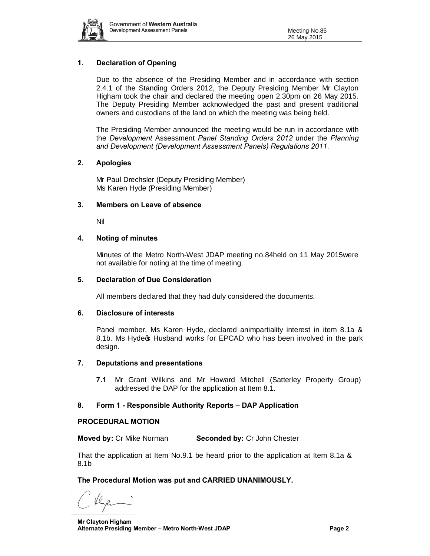

# **1. Declaration of Opening**

Due to the absence of the Presiding Member and in accordance with section 2.4.1 of the Standing Orders 2012, the Deputy Presiding Member Mr Clayton Higham took the chair and declared the meeting open 2.30pm on 26 May 2015. The Deputy Presiding Member acknowledged the past and present traditional owners and custodians of the land on which the meeting was being held.

The Presiding Member announced the meeting would be run in accordance with the *Development* Assessment *Panel Standing Orders 2012* under the *Planning and Development (Development Assessment Panels) Regulations 2011*.

## **2. Apologies**

Mr Paul Drechsler (Deputy Presiding Member) Ms Karen Hyde (Presiding Member)

## **3. Members on Leave of absence**

Nil

## **4. Noting of minutes**

Minutes of the Metro North-West JDAP meeting no.84held on 11 May 2015were not available for noting at the time of meeting.

#### **5. Declaration of Due Consideration**

All members declared that they had duly considered the documents.

#### **6. Disclosure of interests**

Panel member, Ms Karen Hyde, declared animpartiality interest in item 8.1a & 8.1b. Ms Hyde os Husband works for EPCAD who has been involved in the park design.

#### **7. Deputations and presentations**

**7.1** Mr Grant Wilkins and Mr Howard Mitchell (Satterley Property Group) addressed the DAP for the application at Item 8.1.

# **8. Form 1 - Responsible Authority Reports – DAP Application**

#### **PROCEDURAL MOTION**

**Moved by:** Cr Mike Norman **Seconded by:** Cr John Chester

That the application at Item No.9.1 be heard prior to the application at Item 8.1a & 8.1b

# **The Procedural Motion was put and CARRIED UNANIMOUSLY.**

**Mr Clayton Higham Alternate Presiding Member – Metro North-West JDAP Page 2**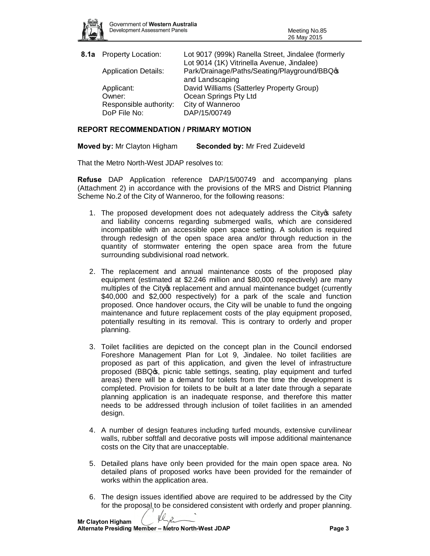

| 8.1a Property Location:     | Lot 9017 (999k) Ranella Street, Jindalee (formerly |
|-----------------------------|----------------------------------------------------|
|                             | Lot 9014 (1K) Vitrinella Avenue, Jindalee)         |
| <b>Application Details:</b> | Park/Drainage/Paths/Seating/Playground/BBQos       |
|                             | and Landscaping                                    |
| Applicant:                  | David Williams (Satterley Property Group)          |
| Owner:                      | Ocean Springs Pty Ltd                              |
| Responsible authority:      | City of Wanneroo                                   |
| DoP File No:                | DAP/15/00749                                       |

## **REPORT RECOMMENDATION / PRIMARY MOTION**

**Moved by:** Mr Clayton Higham **Seconded by:** Mr Fred Zuideveld

That the Metro North-West JDAP resolves to:

**Refuse** DAP Application reference DAP/15/00749 and accompanying plans (Attachment 2) in accordance with the provisions of the MRS and District Planning Scheme No.2 of the City of Wanneroo, for the following reasons:

- 1. The proposed development does not adequately address the City of safety and liability concerns regarding submerged walls, which are considered incompatible with an accessible open space setting. A solution is required through redesign of the open space area and/or through reduction in the quantity of stormwater entering the open space area from the future surrounding subdivisional road network.
- 2. The replacement and annual maintenance costs of the proposed play equipment (estimated at \$2.246 million and \$80,000 respectively) are many multiples of the City of replacement and annual maintenance budget (currently \$40,000 and \$2,000 respectively) for a park of the scale and function proposed. Once handover occurs, the City will be unable to fund the ongoing maintenance and future replacement costs of the play equipment proposed, potentially resulting in its removal. This is contrary to orderly and proper planning.
- 3. Toilet facilities are depicted on the concept plan in the Council endorsed Foreshore Management Plan for Lot 9, Jindalee. No toilet facilities are proposed as part of this application, and given the level of infrastructure proposed (BBQ $\sigma$ , picnic table settings, seating, play equipment and turfed areas) there will be a demand for toilets from the time the development is completed. Provision for toilets to be built at a later date through a separate planning application is an inadequate response, and therefore this matter needs to be addressed through inclusion of toilet facilities in an amended design.
- 4. A number of design features including turfed mounds, extensive curvilinear walls, rubber softfall and decorative posts will impose additional maintenance costs on the City that are unacceptable.
- 5. Detailed plans have only been provided for the main open space area. No detailed plans of proposed works have been provided for the remainder of works within the application area.
- 6. The design issues identified above are required to be addressed by the City for the proposal to be considered consistent with orderly and proper planning.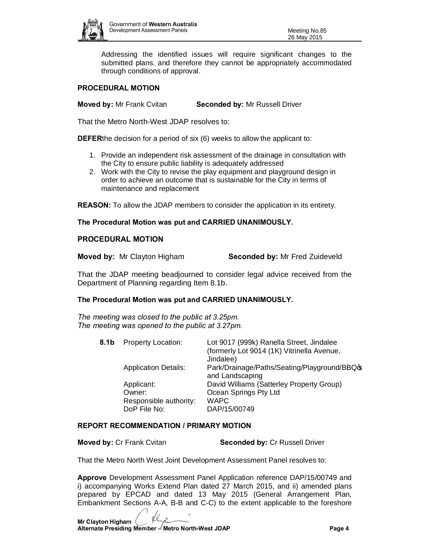

Addressing the identified issues will require significant changes to the submitted plans. and therefore they cannot be appropriately accommodated through conditions of approval.

## **PROCEDURAL MOTION**

**Moved by:** Mr Frank Cvitan **Seconded by:** Mr Russell Driver

That the Metro North-West JDAP resolves to:

**DEFER**the decision for a period of six (6) weeks to allow the applicant to:

- 1. Provide an independent risk assessment of the drainage in consultation with the City to ensure public liability is adequately addressed
- 2. Work with the City to revise the play equipment and playground design in order to achieve an outcome that is sustainable for the City in terms of maintenance and replacement

**REASON:** To allow the JDAP members to consider the application in its entirety.

# **The Procedural Motion was put and CARRIED UNANIMOUSLY.**

## **PROCEDURAL MOTION**

**Moved by:** Mr Clayton Higham **Seconded by:** Mr Fred Zuideveld

That the JDAP meeting beadjourned to consider legal advice received from the Department of Planning regarding Item 8.1b.

# **The Procedural Motion was put and CARRIED UNANIMOUSLY.**

*The meeting was closed to the public at 3.25pm. The meeting was opened to the public at 3.27pm.*

| 8.1b | Property Location:          | Lot 9017 (999k) Ranella Street, Jindalee                         |
|------|-----------------------------|------------------------------------------------------------------|
|      |                             | (formerly Lot 9014 (1K) Vitrinella Avenue,                       |
|      |                             | Jindalee)                                                        |
|      | <b>Application Details:</b> | Park/Drainage/Paths/Seating/Playground/BBQo\$<br>and Landscaping |
|      |                             |                                                                  |
|      | Applicant:                  | David Williams (Satterley Property Group)                        |
|      | Owner:                      | Ocean Springs Pty Ltd                                            |
|      | Responsible authority:      | <b>WAPC</b>                                                      |
|      | DoP File No:                | DAP/15/00749                                                     |
|      |                             |                                                                  |

#### **REPORT RECOMMENDATION / PRIMARY MOTION**

**Moved by:** Cr Frank Cvitan **Seconded by:** Cr Russell Driver

That the Metro North West Joint Development Assessment Panel resolves to:

**Approve** Development Assessment Panel Application reference DAP/15/00749 and i) accompanying Works Extend Plan dated 27 March 2015, and ii) amended plans prepared by EPCAD and dated 13 May 2015 (General Arrangement Plan, Embankment Sections A-A, B-B and C-C) to the extent applicable to the foreshore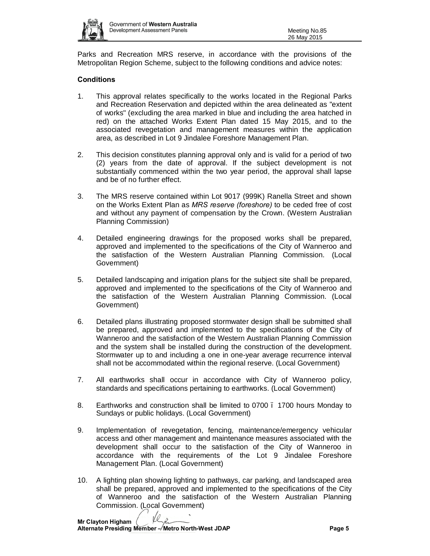

Parks and Recreation MRS reserve, in accordance with the provisions of the Metropolitan Region Scheme, subject to the following conditions and advice notes:

# **Conditions**

- 1. This approval relates specifically to the works located in the Regional Parks and Recreation Reservation and depicted within the area delineated as "extent of works" (excluding the area marked in blue and including the area hatched in red) on the attached Works Extent Plan dated 15 May 2015, and to the associated revegetation and management measures within the application area, as described in Lot 9 Jindalee Foreshore Management Plan.
- 2. This decision constitutes planning approval only and is valid for a period of two (2) years from the date of approval. If the subject development is not substantially commenced within the two year period, the approval shall lapse and be of no further effect.
- 3. The MRS reserve contained within Lot 9017 (999K) Ranella Street and shown on the Works Extent Plan as *MRS reserve (foreshore)* to be ceded free of cost and without any payment of compensation by the Crown. (Western Australian Planning Commission)
- 4. Detailed engineering drawings for the proposed works shall be prepared, approved and implemented to the specifications of the City of Wanneroo and the satisfaction of the Western Australian Planning Commission. (Local Government)
- 5. Detailed landscaping and irrigation plans for the subject site shall be prepared, approved and implemented to the specifications of the City of Wanneroo and the satisfaction of the Western Australian Planning Commission. (Local Government)
- 6. Detailed plans illustrating proposed stormwater design shall be submitted shall be prepared, approved and implemented to the specifications of the City of Wanneroo and the satisfaction of the Western Australian Planning Commission and the system shall be installed during the construction of the development. Stormwater up to and including a one in one-year average recurrence interval shall not be accommodated within the regional reserve. (Local Government)
- 7. All earthworks shall occur in accordance with City of Wanneroo policy, standards and specifications pertaining to earthworks. (Local Government)
- 8. Earthworks and construction shall be limited to 0700 1700 hours Monday to Sundays or public holidays. (Local Government)
- 9. Implementation of revegetation, fencing, maintenance/emergency vehicular access and other management and maintenance measures associated with the development shall occur to the satisfaction of the City of Wanneroo in accordance with the requirements of the Lot 9 Jindalee Foreshore Management Plan. (Local Government)
- 10. A lighting plan showing lighting to pathways, car parking, and landscaped area shall be prepared, approved and implemented to the specifications of the City of Wanneroo and the satisfaction of the Western Australian Planning Commission. (Local Government)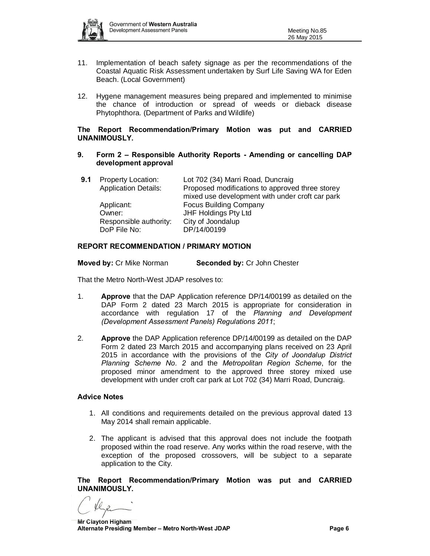

- 11. Implementation of beach safety signage as per the recommendations of the Coastal Aquatic Risk Assessment undertaken by Surf Life Saving WA for Eden Beach. (Local Government)
- 12. Hygene management measures being prepared and implemented to minimise the chance of introduction or spread of weeds or dieback disease Phytophthora. (Department of Parks and Wildlife)

## **The Report Recommendation/Primary Motion was put and CARRIED UNANIMOUSLY.**

#### **9. Form 2 – Responsible Authority Reports - Amending or cancelling DAP development approval**

| 9.1 | <b>Property Location:</b>   | Lot 702 (34) Marri Road, Duncraig               |
|-----|-----------------------------|-------------------------------------------------|
|     | <b>Application Details:</b> | Proposed modifications to approved three storey |
|     |                             | mixed use development with under croft car park |
|     | Applicant:                  | <b>Focus Building Company</b>                   |
|     | Owner:                      | JHF Holdings Pty Ltd                            |
|     | Responsible authority:      | City of Joondalup                               |
|     | DoP File No:                | DP/14/00199                                     |
|     |                             |                                                 |

## **REPORT RECOMMENDATION / PRIMARY MOTION**

**Moved by:** Cr Mike Norman **Seconded by:** Cr John Chester

That the Metro North-West JDAP resolves to:

- 1. **Approve** that the DAP Application reference DP/14/00199 as detailed on the DAP Form 2 dated 23 March 2015 is appropriate for consideration in accordance with regulation 17 of the *Planning and Development (Development Assessment Panels) Regulations 2011*;
- 2. **Approve** the DAP Application reference DP/14/00199 as detailed on the DAP Form 2 dated 23 March 2015 and accompanying plans received on 23 April 2015 in accordance with the provisions of the *City of Joondalup District Planning Scheme No. 2* and the *Metropolitan Region Scheme*, for the proposed minor amendment to the approved three storey mixed use development with under croft car park at Lot 702 (34) Marri Road, Duncraig.

#### **Advice Notes**

- 1. All conditions and requirements detailed on the previous approval dated 13 May 2014 shall remain applicable.
- 2. The applicant is advised that this approval does not include the footpath proposed within the road reserve. Any works within the road reserve, with the exception of the proposed crossovers, will be subject to a separate application to the City.

**The Report Recommendation/Primary Motion was put and CARRIED UNANIMOUSLY.**

**Mr Clayton Higham Alternate Presiding Member – Metro North-West JDAP Page 6**